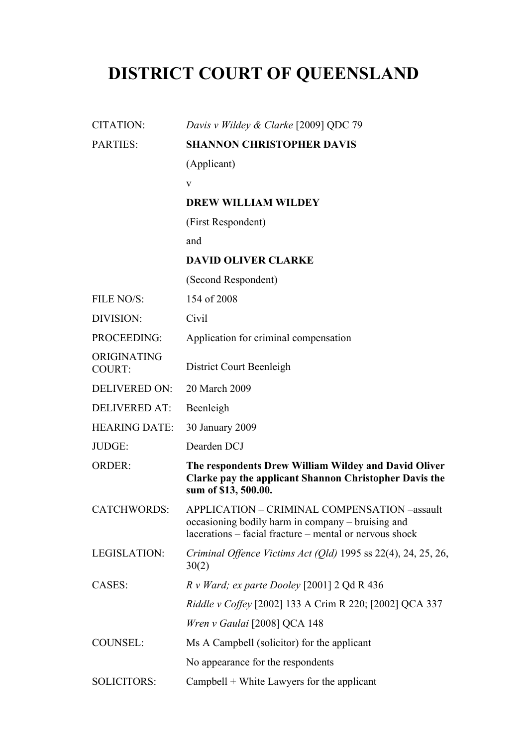# **DISTRICT COURT OF QUEENSLAND**

| <b>CITATION:</b>             | Davis v Wildey & Clarke [2009] QDC 79                                                                                                                        |
|------------------------------|--------------------------------------------------------------------------------------------------------------------------------------------------------------|
| <b>PARTIES:</b>              | <b>SHANNON CHRISTOPHER DAVIS</b>                                                                                                                             |
|                              | (Applicant)                                                                                                                                                  |
|                              | V                                                                                                                                                            |
|                              | <b>DREW WILLIAM WILDEY</b>                                                                                                                                   |
|                              | (First Respondent)                                                                                                                                           |
|                              | and                                                                                                                                                          |
|                              | <b>DAVID OLIVER CLARKE</b>                                                                                                                                   |
|                              | (Second Respondent)                                                                                                                                          |
| FILE NO/S:                   | 154 of 2008                                                                                                                                                  |
| DIVISION:                    | Civil                                                                                                                                                        |
| PROCEEDING:                  | Application for criminal compensation                                                                                                                        |
| ORIGINATING<br><b>COURT:</b> | District Court Beenleigh                                                                                                                                     |
| <b>DELIVERED ON:</b>         | 20 March 2009                                                                                                                                                |
| <b>DELIVERED AT:</b>         | Beenleigh                                                                                                                                                    |
| <b>HEARING DATE:</b>         | 30 January 2009                                                                                                                                              |
| JUDGE:                       | Dearden DCJ                                                                                                                                                  |
| <b>ORDER:</b>                | The respondents Drew William Wildey and David Oliver<br>Clarke pay the applicant Shannon Christopher Davis the<br>sum of \$13, 500.00.                       |
| <b>CATCHWORDS:</b>           | APPLICATION - CRIMINAL COMPENSATION -assault<br>occasioning bodily harm in company – bruising and<br>lacerations – facial fracture – mental or nervous shock |
| LEGISLATION:                 | Criminal Offence Victims Act (Qld) 1995 ss $22(4)$ , 24, 25, 26,<br>30(2)                                                                                    |
| CASES:                       | $R \, v$ Ward; ex parte Dooley [2001] 2 Qd R 436                                                                                                             |
|                              | Riddle v Coffey [2002] 133 A Crim R 220; [2002] QCA 337                                                                                                      |
|                              | Wren v Gaulai [2008] QCA 148                                                                                                                                 |
| <b>COUNSEL:</b>              | Ms A Campbell (solicitor) for the applicant                                                                                                                  |
|                              | No appearance for the respondents                                                                                                                            |
| <b>SOLICITORS:</b>           | $Cambell + White Lawsers for the application$                                                                                                                |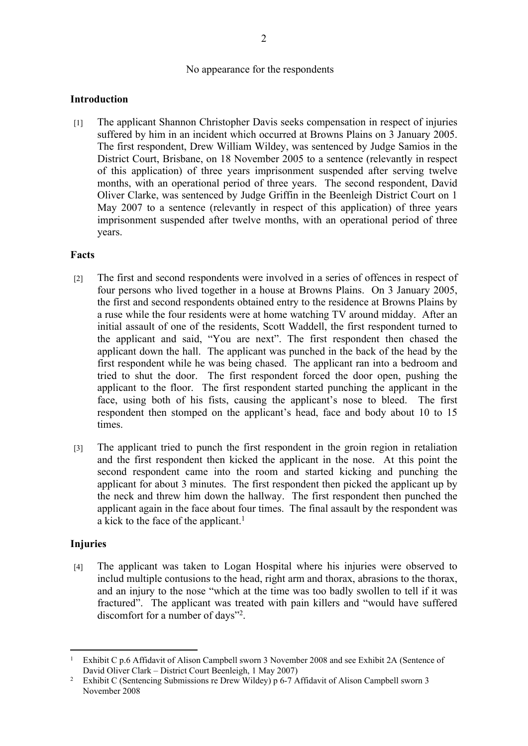#### No appearance for the respondents

## **Introduction**

[1] The applicant Shannon Christopher Davis seeks compensation in respect of injuries suffered by him in an incident which occurred at Browns Plains on 3 January 2005. The first respondent, Drew William Wildey, was sentenced by Judge Samios in the District Court, Brisbane, on 18 November 2005 to a sentence (relevantly in respect of this application) of three years imprisonment suspended after serving twelve months, with an operational period of three years. The second respondent, David Oliver Clarke, was sentenced by Judge Griffin in the Beenleigh District Court on 1 May 2007 to a sentence (relevantly in respect of this application) of three years imprisonment suspended after twelve months, with an operational period of three years.

#### **Facts**

- [2] The first and second respondents were involved in a series of offences in respect of four persons who lived together in a house at Browns Plains. On 3 January 2005, the first and second respondents obtained entry to the residence at Browns Plains by a ruse while the four residents were at home watching TV around midday. After an initial assault of one of the residents, Scott Waddell, the first respondent turned to the applicant and said, "You are next". The first respondent then chased the applicant down the hall. The applicant was punched in the back of the head by the first respondent while he was being chased. The applicant ran into a bedroom and tried to shut the door. The first respondent forced the door open, pushing the applicant to the floor. The first respondent started punching the applicant in the face, using both of his fists, causing the applicant's nose to bleed. The first respondent then stomped on the applicant's head, face and body about 10 to 15 times.
- [3] The applicant tried to punch the first respondent in the groin region in retaliation and the first respondent then kicked the applicant in the nose. At this point the second respondent came into the room and started kicking and punching the applicant for about 3 minutes. The first respondent then picked the applicant up by the neck and threw him down the hallway. The first respondent then punched the applicant again in the face about four times. The final assault by the respondent was a kick to the face of the applicant.<sup>1</sup>

# **Injuries**

[4] The applicant was taken to Logan Hospital where his injuries were observed to includ multiple contusions to the head, right arm and thorax, abrasions to the thorax, and an injury to the nose "which at the time was too badly swollen to tell if it was fractured". The applicant was treated with pain killers and "would have suffered discomfort for a number of days"<sup>2</sup> .

<sup>&</sup>lt;sup>1</sup> Exhibit C p.6 Affidavit of Alison Campbell sworn 3 November 2008 and see Exhibit 2A (Sentence of David Oliver Clark – District Court Beenleigh, 1 May 2007)

<sup>2</sup> Exhibit C (Sentencing Submissions re Drew Wildey) p 6-7 Affidavit of Alison Campbell sworn 3 November 2008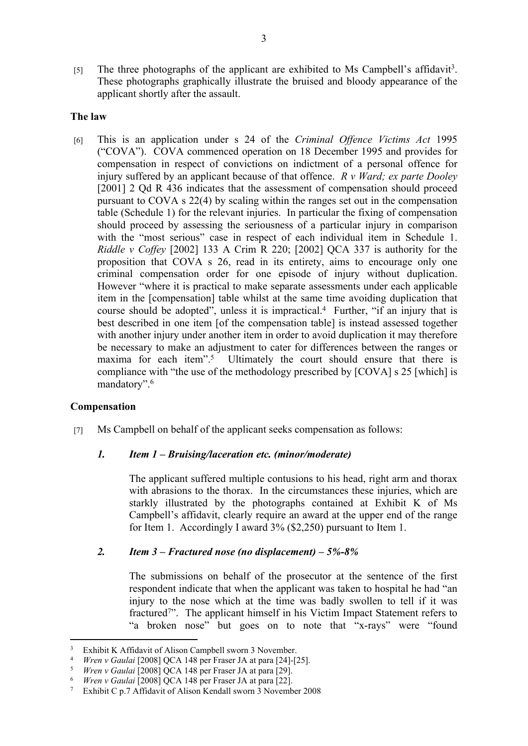[5] The three photographs of the applicant are exhibited to Ms Campbell's affidavit<sup>3</sup>. These photographs graphically illustrate the bruised and bloody appearance of the applicant shortly after the assault.

## **The law**

[6] This is an application under s 24 of the *Criminal Offence Victims Act* 1995 ("COVA"). COVA commenced operation on 18 December 1995 and provides for compensation in respect of convictions on indictment of a personal offence for injury suffered by an applicant because of that offence. *R v Ward; ex parte Dooley* [2001] 2 Qd R 436 indicates that the assessment of compensation should proceed pursuant to COVA s 22(4) by scaling within the ranges set out in the compensation table (Schedule 1) for the relevant injuries. In particular the fixing of compensation should proceed by assessing the seriousness of a particular injury in comparison with the "most serious" case in respect of each individual item in Schedule 1. *Riddle v Coffey* [2002] 133 A Crim R 220; [2002] QCA 337 is authority for the proposition that COVA s 26, read in its entirety, aims to encourage only one criminal compensation order for one episode of injury without duplication. However "where it is practical to make separate assessments under each applicable item in the [compensation] table whilst at the same time avoiding duplication that course should be adopted", unless it is impractical.<sup>4</sup> Further, "if an injury that is best described in one item [of the compensation table] is instead assessed together with another injury under another item in order to avoid duplication it may therefore be necessary to make an adjustment to cater for differences between the ranges or maxima for each item".<sup>5</sup> Ultimately the court should ensure that there is compliance with "the use of the methodology prescribed by [COVA] s 25 [which] is mandatory".<sup>6</sup>

#### **Compensation**

[7] Ms Campbell on behalf of the applicant seeks compensation as follows:

#### *1. Item 1 – Bruising/laceration etc. (minor/moderate)*

The applicant suffered multiple contusions to his head, right arm and thorax with abrasions to the thorax. In the circumstances these injuries, which are starkly illustrated by the photographs contained at Exhibit K of Ms Campbell's affidavit, clearly require an award at the upper end of the range for Item 1. Accordingly I award 3% (\$2,250) pursuant to Item 1.

# *2. Item 3 – Fractured nose (no displacement) – 5%-8%*

The submissions on behalf of the prosecutor at the sentence of the first respondent indicate that when the applicant was taken to hospital he had "an injury to the nose which at the time was badly swollen to tell if it was fractured<sup>7</sup>". The applicant himself in his Victim Impact Statement refers to "a broken nose" but goes on to note that "x-rays" were "found

<sup>3</sup> <sup>3</sup> Exhibit K Affidavit of Alison Campbell sworn 3 November.<br><sup>4</sup> *Wren y Gaulai* [2008] OCA 148 per Fraser IA at para [24]-[25]

<sup>4</sup> *Wren v Gaulai* [2008] QCA 148 per Fraser JA at para [24]-[25].

<sup>5</sup> *Wren v Gaulai* [2008] QCA 148 per Fraser JA at para [29].

*Wren v Gaulai* [2008] QCA 148 per Fraser JA at para [22].

<sup>7</sup> Exhibit C p.7 Affidavit of Alison Kendall sworn 3 November 2008